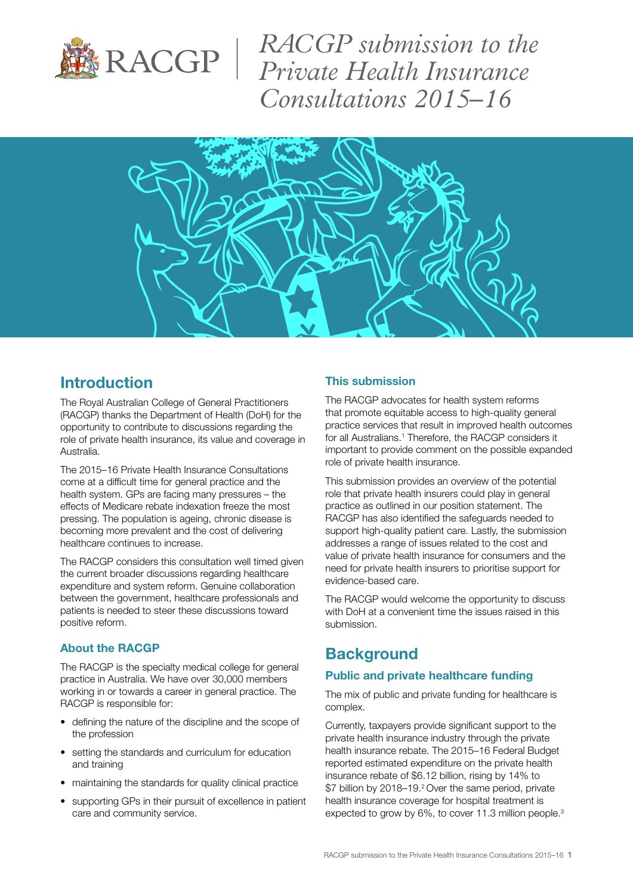

*RACGP submission to the Private Health Insurance Consultations 2015–16*



## Introduction

The Royal Australian College of General Practitioners (RACGP) thanks the Department of Health (DoH) for the opportunity to contribute to discussions regarding the role of private health insurance, its value and coverage in Australia.

The [2015–16 Private Health Insurance Consultations](http://www.health.gov.au/internet/main/publishing.nsf/Content/PHIconsultations2015-16) come at a difficult time for general practice and the health system. GPs are facing many pressures – the effects of Medicare rebate indexation freeze the most pressing. The population is ageing, chronic disease is becoming more prevalent and the cost of delivering healthcare continues to increase.

The RACGP considers this consultation well timed given the current broader discussions regarding healthcare expenditure and system reform. Genuine collaboration between the government, healthcare professionals and patients is needed to steer these discussions toward positive reform.

### About the RACGP

The RACGP is the specialty medical college for general practice in Australia. We have over 30,000 members working in or towards a career in general practice. The RACGP is responsible for:

- defining the nature of the discipline and the scope of the profession
- setting the standards and curriculum for education and training
- maintaining the standards for quality clinical practice
- supporting GPs in their pursuit of excellence in patient care and community service.

### This submission

The RACGP advocates for health system reforms that promote equitable access to high-quality general practice services that result in improved health outcomes for all Australians.<sup>1</sup> Therefore, the RACGP considers it important to provide comment on the possible expanded role of private health insurance.

This submission provides an overview of the potential role that private health insurers could play in general practice as outlined in our [position](http://www.racgp.org.au/download/Documents/Policies/Health%20systems/racgp-position-statement-private-health-insurance-in-general-practice.pdf) statement. The RACGP has also identified the safeguards needed to support high-quality patient care. Lastly, the submission addresses a range of issues related to the cost and value of private health insurance for consumers and the need for private health insurers to prioritise support for evidence-based care.

The RACGP would welcome the opportunity to discuss with DoH at a convenient time the issues raised in this submission.

# **Background**

### Public and private healthcare funding

The mix of public and private funding for healthcare is complex.

Currently, taxpayers provide significant support to the private health insurance industry through the private health insurance rebate. The 2015–16 Federal Budget reported estimated expenditure on the private health insurance rebate of \$6.12 billion, rising by 14% to \$7 billion by 2018–19.<sup>2</sup> Over the same period, private health insurance coverage for hospital treatment is expected to grow by 6%, to cover 11.3 million people.<sup>3</sup>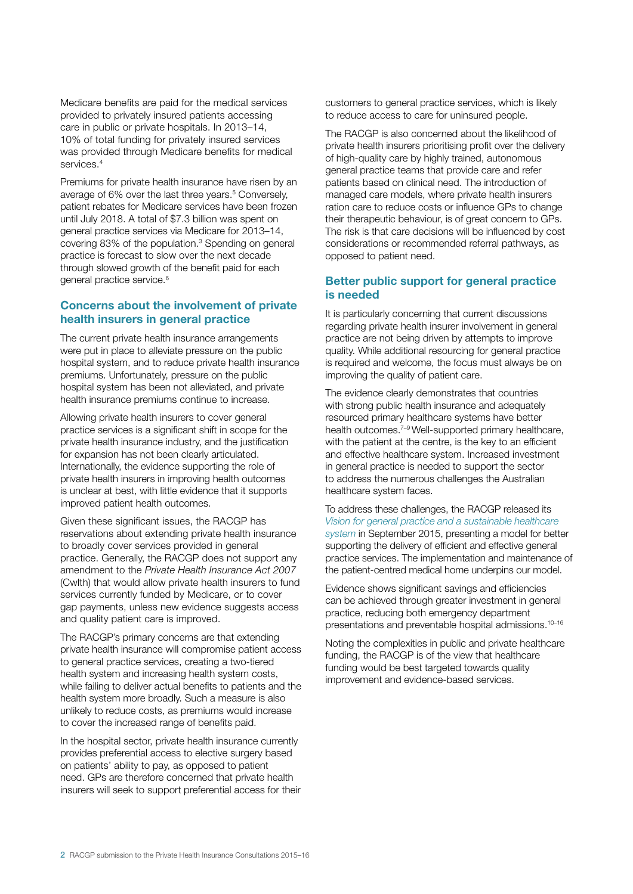Medicare benefits are paid for the medical services provided to privately insured patients accessing care in public or private hospitals. In 2013–14, 10% of total funding for privately insured services was provided through Medicare benefits for medical services.<sup>4</sup>

Premiums for private health insurance have risen by an average of 6% over the last three years.<sup>5</sup> Conversely, patient rebates for Medicare services have been frozen until July 2018. A total of \$7.3 billion was spent on general practice services via Medicare for 2013–14, covering 83% of the population.<sup>3</sup> Spending on general practice is forecast to slow over the next decade through slowed growth of the benefit paid for each general practice service.6

### Concerns about the involvement of private health insurers in general practice

The current private health insurance arrangements were put in place to alleviate pressure on the public hospital system, and to reduce private health insurance premiums. Unfortunately, pressure on the public hospital system has been not alleviated, and private health insurance premiums continue to increase.

Allowing private health insurers to cover general practice services is a significant shift in scope for the private health insurance industry, and the justification for expansion has not been clearly articulated. Internationally, the evidence supporting the role of private health insurers in improving health outcomes is unclear at best, with little evidence that it supports improved patient health outcomes.

Given these significant issues, the RACGP has reservations about extending private health insurance to broadly cover services provided in general practice. Generally, the RACGP does not support any amendment to the *Private Health Insurance Act 2007* (Cwlth) that would allow private health insurers to fund services currently funded by Medicare, or to cover gap payments, unless new evidence suggests access and quality patient care is improved.

The RACGP's primary concerns are that extending private health insurance will compromise patient access to general practice services, creating a two-tiered health system and increasing health system costs, while failing to deliver actual benefits to patients and the health system more broadly. Such a measure is also unlikely to reduce costs, as premiums would increase to cover the increased range of benefits paid.

In the hospital sector, private health insurance currently provides preferential access to elective surgery based on patients' ability to pay, as opposed to patient need. GPs are therefore concerned that private health insurers will seek to support preferential access for their customers to general practice services, which is likely to reduce access to care for uninsured people.

The RACGP is also concerned about the likelihood of private health insurers prioritising profit over the delivery of high-quality care by highly trained, autonomous general practice teams that provide care and refer patients based on clinical need. The introduction of managed care models, where private health insurers ration care to reduce costs or influence GPs to change their therapeutic behaviour, is of great concern to GPs. The risk is that care decisions will be influenced by cost considerations or recommended referral pathways, as opposed to patient need.

### Better public support for general practice is needed

It is particularly concerning that current discussions regarding private health insurer involvement in general practice are not being driven by attempts to improve quality. While additional resourcing for general practice is required and welcome, the focus must always be on improving the quality of patient care.

The evidence clearly demonstrates that countries with strong public health insurance and adequately resourced primary healthcare systems have better health outcomes.<sup>7-9</sup> Well-supported primary healthcare, with the patient at the centre, is the key to an efficient and effective healthcare system. Increased investment in general practice is needed to support the sector to address the numerous challenges the Australian healthcare system faces.

To address these challenges, the RACGP released its *[Vision for general practice and a sustainable healthcare](http://www.racgp.org.au/support/advocacy/vision/)  [system](http://www.racgp.org.au/support/advocacy/vision/)* in September 2015, presenting a model for better supporting the delivery of efficient and effective general practice services. The implementation and maintenance of the patient-centred medical home underpins our model.

Evidence shows significant savings and efficiencies can be achieved through greater investment in general practice, reducing both emergency department presentations and preventable hospital admissions.<sup>10-16</sup>

Noting the complexities in public and private healthcare funding, the RACGP is of the view that healthcare funding would be best targeted towards quality improvement and evidence-based services.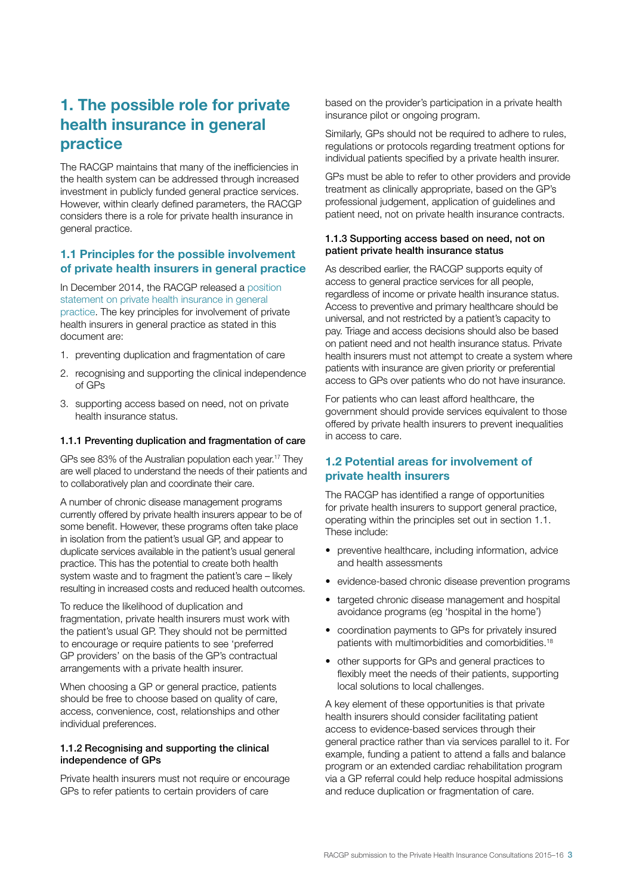# 1. The possible role for private health insurance in general practice

The RACGP maintains that many of the inefficiencies in the health system can be addressed through increased investment in publicly funded general practice services. However, within clearly defined parameters, the RACGP considers there is a role for private health insurance in general practice.

### 1.1 Principles for the possible involvement of private health insurers in general practice

In December 2014, the RACGP released a [position](http://www.racgp.org.au/download/Documents/Policies/Health%20systems/racgp-position-statement-private-health-insurance-in-general-practice.pdf)  [statement on private health](http://www.racgp.org.au/download/Documents/Policies/Health%20systems/racgp-position-statement-private-health-insurance-in-general-practice.pdf) insurance in general [practice](http://www.racgp.org.au/download/Documents/Policies/Health%20systems/racgp-position-statement-private-health-insurance-in-general-practice.pdf). The key principles for involvement of private health insurers in general practice as stated in this document are:

- 1. preventing duplication and fragmentation of care
- 2. recognising and supporting the clinical independence of GPs
- 3. supporting access based on need, not on private health insurance status.

#### 1.1.1 Preventing duplication and fragmentation of care

GPs see 83% of the Australian population each year.17 They are well placed to understand the needs of their patients and to collaboratively plan and coordinate their care.

A number of chronic disease management programs currently offered by private health insurers appear to be of some benefit. However, these programs often take place in isolation from the patient's usual GP, and appear to duplicate services available in the patient's usual general practice. This has the potential to create both health system waste and to fragment the patient's care – likely resulting in increased costs and reduced health outcomes.

To reduce the likelihood of duplication and fragmentation, private health insurers must work with the patient's usual GP. They should not be permitted to encourage or require patients to see 'preferred GP providers' on the basis of the GP's contractual arrangements with a private health insurer.

When choosing a GP or general practice, patients should be free to choose based on quality of care, access, convenience, cost, relationships and other individual preferences.

#### 1.1.2 Recognising and supporting the clinical independence of GPs

Private health insurers must not require or encourage GPs to refer patients to certain providers of care

based on the provider's participation in a private health insurance pilot or ongoing program.

Similarly, GPs should not be required to adhere to rules, regulations or protocols regarding treatment options for individual patients specified by a private health insurer.

GPs must be able to refer to other providers and provide treatment as clinically appropriate, based on the GP's professional judgement, application of guidelines and patient need, not on private health insurance contracts.

#### 1.1.3 Supporting access based on need, not on patient private health insurance status

As described earlier, the RACGP supports equity of access to general practice services for all people, regardless of income or private health insurance status. Access to preventive and primary healthcare should be universal, and not restricted by a patient's capacity to pay. Triage and access decisions should also be based on patient need and not health insurance status. Private health insurers must not attempt to create a system where patients with insurance are given priority or preferential access to GPs over patients who do not have insurance.

For patients who can least afford healthcare, the government should provide services equivalent to those offered by private health insurers to prevent inequalities in access to care.

### 1.2 Potential areas for involvement of private health insurers

The RACGP has identified a range of opportunities for private health insurers to support general practice, operating within the principles set out in section 1.1. These include:

- preventive healthcare, including information, advice and health assessments
- evidence-based chronic disease prevention programs
- targeted chronic disease management and hospital avoidance programs (eg 'hospital in the home')
- coordination payments to GPs for privately insured patients with multimorbidities and comorbidities.18
- other supports for GPs and general practices to flexibly meet the needs of their patients, supporting local solutions to local challenges.

A key element of these opportunities is that private health insurers should consider facilitating patient access to evidence-based services through their general practice rather than via services parallel to it. For example, funding a patient to attend a falls and balance program or an extended cardiac rehabilitation program via a GP referral could help reduce hospital admissions and reduce duplication or fragmentation of care.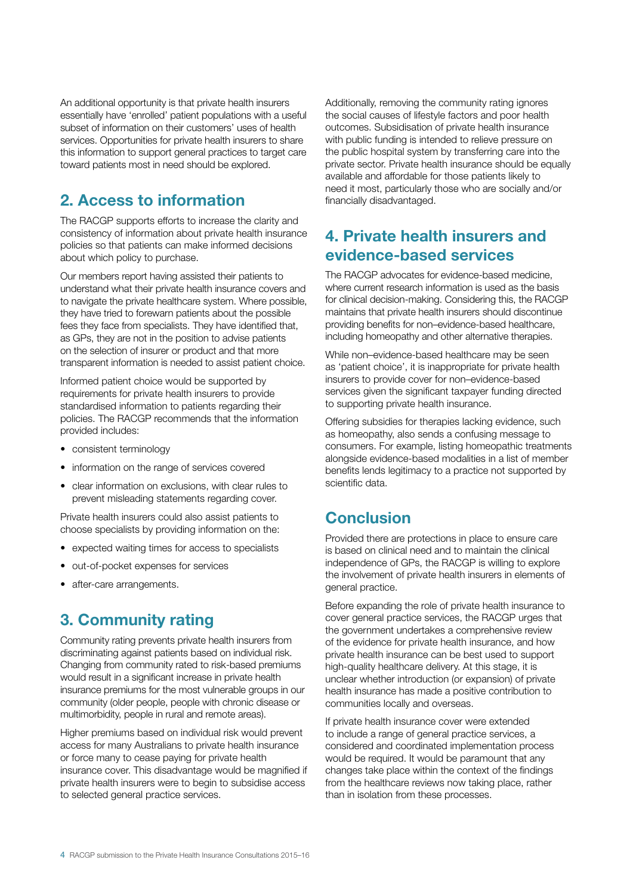An additional opportunity is that private health insurers essentially have 'enrolled' patient populations with a useful subset of information on their customers' uses of health services. Opportunities for private health insurers to share this information to support general practices to target care toward patients most in need should be explored.

# 2. Access to information

The RACGP supports efforts to increase the clarity and consistency of information about private health insurance policies so that patients can make informed decisions about which policy to purchase.

Our members report having assisted their patients to understand what their private health insurance covers and to navigate the private healthcare system. Where possible, they have tried to forewarn patients about the possible fees they face from specialists. They have identified that, as GPs, they are not in the position to advise patients on the selection of insurer or product and that more transparent information is needed to assist patient choice.

Informed patient choice would be supported by requirements for private health insurers to provide standardised information to patients regarding their policies. The RACGP recommends that the information provided includes:

- consistent terminology
- information on the range of services covered
- clear information on exclusions, with clear rules to prevent misleading statements regarding cover.

Private health insurers could also assist patients to choose specialists by providing information on the:

- expected waiting times for access to specialists
- out-of-pocket expenses for services
- after-care arrangements.

# 3. Community rating

Community rating prevents private health insurers from discriminating against patients based on individual risk. Changing from community rated to risk-based premiums would result in a significant increase in private health insurance premiums for the most vulnerable groups in our community (older people, people with chronic disease or multimorbidity, people in rural and remote areas).

Higher premiums based on individual risk would prevent access for many Australians to private health insurance or force many to cease paying for private health insurance cover. This disadvantage would be magnified if private health insurers were to begin to subsidise access to selected general practice services.

Additionally, removing the community rating ignores the social causes of lifestyle factors and poor health outcomes. Subsidisation of private health insurance with public funding is intended to relieve pressure on the public hospital system by transferring care into the private sector. Private health insurance should be equally available and affordable for those patients likely to need it most, particularly those who are socially and/or financially disadvantaged.

## 4. Private health insurers and evidence-based services

The RACGP advocates for evidence-based medicine, where current research information is used as the basis for clinical decision-making. Considering this, the RACGP maintains that private health insurers should discontinue providing benefits for non–evidence-based healthcare, including homeopathy and other alternative therapies.

While non–evidence-based healthcare may be seen as 'patient choice', it is inappropriate for private health insurers to provide cover for non–evidence-based services given the significant taxpayer funding directed to supporting private health insurance.

Offering subsidies for therapies lacking evidence, such as homeopathy, also sends a confusing message to consumers. For example, listing homeopathic treatments alongside evidence-based modalities in a list of member benefits lends legitimacy to a practice not supported by scientific data.

## Conclusion

Provided there are protections in place to ensure care is based on clinical need and to maintain the clinical independence of GPs, the RACGP is willing to explore the involvement of private health insurers in elements of general practice.

Before expanding the role of private health insurance to cover general practice services, the RACGP urges that the government undertakes a comprehensive review of the evidence for private health insurance, and how private health insurance can be best used to support high-quality healthcare delivery. At this stage, it is unclear whether introduction (or expansion) of private health insurance has made a positive contribution to communities locally and overseas.

If private health insurance cover were extended to include a range of general practice services, a considered and coordinated implementation process would be required. It would be paramount that any changes take place within the context of the findings from the healthcare reviews now taking place, rather than in isolation from these processes.